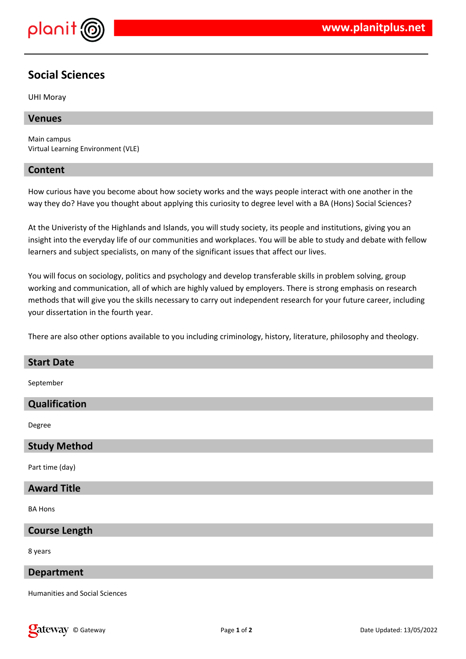

# **Social Sciences**

UHI Moray

#### **Venues**

Main campus Virtual Learning Environment (VLE)

#### **Content**

How curious have you become about how society works and the ways people interact with one another in the way they do? Have you thought about applying this curiosity to degree level with a BA (Hons) Social Sciences?

At the Univeristy of the Highlands and Islands, you will study society, its people and institutions, giving you an insight into the everyday life of our communities and workplaces. You will be able to study and debate with fellow learners and subject specialists, on many of the significant issues that affect our lives.

You will focus on sociology, politics and psychology and develop transferable skills in problem solving, group working and communication, all of which are highly valued by employers. There is strong emphasis on research methods that will give you the skills necessary to carry out independent research for your future career, including your dissertation in the fourth year.

There are also other options available to you including criminology, history, literature, philosophy and theology.

#### **Start Date**

September

### **Qualification**

Degree

#### **Study Method**

Part time (day)

#### **Award Title**

BA Hons

#### **Course Length**

8 years

#### **Department**

Humanities and Social Sciences

**Cateway** © Gateway **Page 1** of 2 **Date Updated: 13/05/2022**